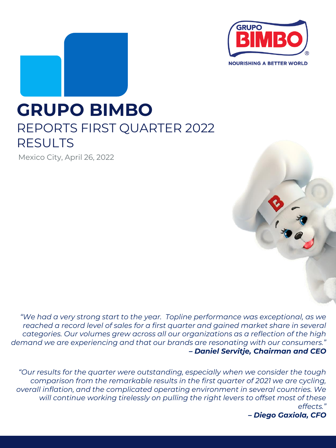

# **GRUPO BIMBO** REPORTS FIRST QUARTER 2022 RESULTS

Mexico City, April 26, 2022

*"We had a very strong start to the year. Topline performance was exceptional, as we reached a record level of sales for a first quarter and gained market share in several categories. Our volumes grew across all our organizations as a reflection of the high demand we are experiencing and that our brands are resonating with our consumers." – Daniel Servitje, Chairman and CEO*

*"Our results for the quarter were outstanding, especially when we consider the tough comparison from the remarkable results in the first quarter of 2021 we are cycling, overall inflation, and the complicated operating environment in several countries. We will continue working tirelessly on pulling the right levers to offset most of these effects."*

*– Diego Gaxiola, CFO*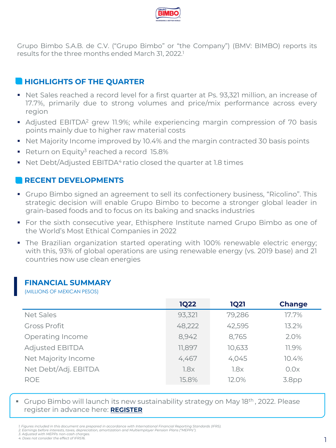

Grupo Bimbo S.A.B. de C.V. ("Grupo Bimbo" or "the Company") (BMV: BIMBO) reports its results for the three months ended March 31, 2022. 1

# **HIGHLIGHTS OF THE QUARTER**

- Net Sales reached a record level for a first quarter at Ps. 93,321 million, an increase of 17.7%, primarily due to strong volumes and price/mix performance across every region
- **•** Adjusted EBITDA<sup>2</sup> grew 11.9%; while experiencing margin compression of 70 basis points mainly due to higher raw material costs
- Net Majority Income improved by 10.4% and the margin contracted 30 basis points
- Return on Equity<sup>3</sup> reached a record 15.8%
- Net Debt/Adjusted  $EBITDA<sup>4</sup>$  ratio closed the quarter at 1.8 times

# **RECENT DEVELOPMENTS**

- **Grupo Bimbo signed an agreement to sell its confectionery business, "Ricolino". This** strategic decision will enable Grupo Bimbo to become a stronger global leader in grain-based foods and to focus on its baking and snacks industries
- **•** For the sixth consecutive year, Ethisphere Institute named Grupo Bimbo as one of the World's Most Ethical Companies in 2022
- **•** The Brazilian organization started operating with 100% renewable electric energy; with this, 93% of global operations are using renewable energy (vs. 2019 base) and 21 countries now use clean energies

#### **FINANCIAL SUMMARY**

(MILLIONS OF MEXICAN PESOS)

|                        | <b>1Q22</b> | <b>1Q21</b> | <b>Change</b> |
|------------------------|-------------|-------------|---------------|
| <b>Net Sales</b>       | 93,321      | 79,286      | 17.7%         |
| <b>Gross Profit</b>    | 48,222      | 42,595      | 13.2%         |
| Operating Income       | 8,942       | 8,765       | 2.0%          |
| <b>Adjusted EBITDA</b> | 11,897      | 10,633      | 11.9%         |
| Net Majority Income    | 4,467       | 4,045       | 10.4%         |
| Net Debt/Adj. EBITDA   | 1.8x        | 1.8x        | 0.0x          |
| <b>ROE</b>             | 15.8%       | 12.0%       | 3.8pp         |

Grupo Bimbo will launch its new sustainability strategy on May 18th, 2022. Please register in advance here: **[REGISTER](https://r20.rs6.net/tn.jsp?f=001YZIkCWJizuQw26HAIg5DOKtwEDgSVFecRKPvEcK-0XlpGa5VQAdbUauWex9YD6H2PYfd5KkGSeHlkjqH79mMAFM_h7QUBowELo5miGGYqBrYwW6ZgKqrgpVtzJ3YKFbxe62OuERIV9vmol1Bm3AZext0hIYJXDf27d1k8UA_GQ6t5lOyhAQLgAf3W15kyUvVyzXcrVjOraE=&c=8Zx7zxqZbo0Ch54zCLGP7efjWCwygN2xDKi9A0vdKPNlLkbTDhXBNg==&ch=jdkUJoLKMPHShzSYsxa3oEWAJ9DZowTkOeLoIQGYjA5p7bwAQXMhIQ==)**

*3. Adjusted with MEPPs non-cash charges.*

<sup>1.</sup> Figures included in this document are prepared in accordance with International Financial Reportina Standards (IFRS)

*<sup>2.</sup> Earnings before interests, taxes, depreciation, amortization and Multiemployer Pension Plans ("MEPPs").*

*<sup>4.</sup> Does not consider the effect of IFRS16.*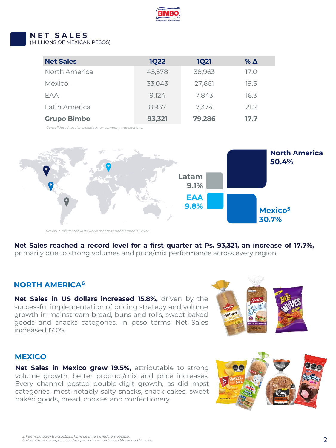

# **N E T S A L E S**

(MILLIONS OF MEXICAN PESOS)

| <b>Net Sales</b>   | <b>1Q22</b> | <b>1Q21</b> | $\%$ $\Delta$ |
|--------------------|-------------|-------------|---------------|
| North America      | 45,578      | 38,963      | 17.O          |
| Mexico             | 33,043      | 27,661      | 19.5          |
| FAA                | 9,124       | 7,843       | 16.3          |
| Latin America      | 8.937       | 7,374       | 21.2          |
| <b>Grupo Bimbo</b> | 93,321      | 79,286      | 17.7          |

*Consolidated results exclude inter-company transactions.*



*Revenue mix for the last twelve months ended March 31, 2022*

**Net Sales reached a record level for a first quarter at Ps. 93,321, an increase of 17.7%,** primarily due to strong volumes and price/mix performance across every region.

#### **NORTH AMERICA<sup>6</sup>**

**Net Sales in US dollars increased 15.8%,** driven by the successful implementation of pricing strategy and volume growth in mainstream bread, buns and rolls, sweet baked goods and snacks categories. In peso terms, Net Sales increased 17.0%.



#### **MEXICO**

**Net Sales in Mexico grew 19.5%,** attributable to strong volume growth, better product/mix and price increases. Every channel posted double-digit growth, as did most categories, most notably salty snacks, snack cakes, sweet baked goods, bread, cookies and confectionery.

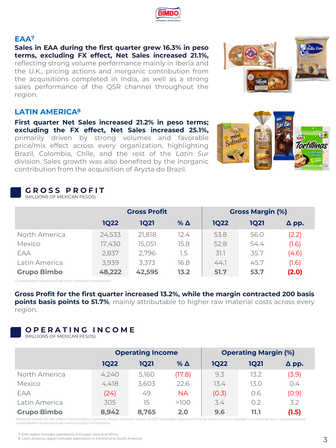**Sales in EAA during the first quarter grew 16.3% in peso terms, excluding FX effect, Net Sales increased 21.1%,** reflecting strong volume performance mainly in Iberia and the U.K., pricing actions and inorganic contribution from the acquisitions completed in India, as well as a strong sales performance of the QSR channel throughout the region.

# **LATIN AMERICA<sup>8</sup>**

**First quarter Net Sales increased 21.2% in peso terms; excluding the FX effect, Net Sales increased 25.1%,** primarily driven by strong volumes and favorable price/mix effect across every organization, highlighting Brazil, Colombia, Chile, and the rest of the *Latin Sur* division. Sales growth was also benefited by the inorganic contribution from the acquisition of Aryzta do Brazil.

#### **G R O S S P R O F I T** (MILLIONS OF MEXICAN PESOS)

| Consolidated results exclude inter-company transactions.                                    |  |
|---------------------------------------------------------------------------------------------|--|
| Gross Profit for the first quarter increased 13.2%, while the margin contracted 200 basis   |  |
| points basis points to 51.7%, mainly attributable to higher raw material costs across every |  |
| region.                                                                                     |  |

North America 24,533 21,818 12.4 53.8 56.0 (2.2) Mexico 17,430 15,051 15.8 52.8 54.4 (1.6) EAA 2,837 2,796 1.5 31.1 35.7 (4.6) Latin America 3,939 3,373 16.8 44.1 45.7 (1.6) **Grupo Bimbo 48,222 42,595 13.2 51.7 53.7 (2.0)**

**Gross Profit Gross Margin (%) 1Q22 1Q21 % Δ 1Q22 1Q21 Δ pp.**

# **O P E R A T I N G I N C O M E**

(MILLIONS OF MEXICAN PESOS)

|                    | <b>Operating Income</b> |       |            | <b>Operating Margin (%)</b> |             |              |
|--------------------|-------------------------|-------|------------|-----------------------------|-------------|--------------|
|                    | <b>1Q22</b>             | 1021  | % $\Delta$ | <b>1Q22</b>                 | <b>1Q21</b> | $\Delta$ pp. |
| North America      | 4,240                   | 5,160 | (17.8)     | 9.3                         | 13.2        | (3.9)        |
| Mexico             | 4,418                   | 3,603 | 22.6       | 13.4                        | 13.0        | 0.4          |
| EAA                | (24)                    | 49    | <b>NA</b>  | (0.3)                       | 0.6         | (0.9)        |
| Latin America      | 305                     | 15    | >100       | 3.4                         | 0.2         | 3.2          |
| <b>Grupo Bimbo</b> | 8,942                   | 8,765 | 2.0        | 9.6                         | 11.1        | (1.5)        |

*Regional results do not reflect intercompany royalties; Mexico segment results of 2021 have been adjusted of some intercompany royalties' income that were included before; consolidated results exclude intercompany transactions.*









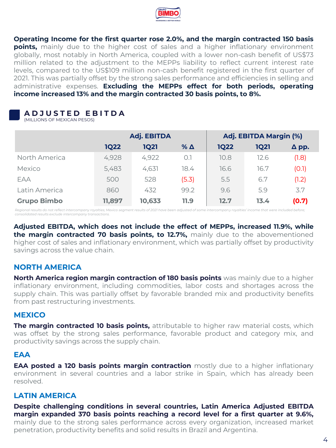

**Operating Income for the first quarter rose 2.0%, and the margin contracted 150 basis points,** mainly due to the higher cost of sales and a higher inflationary environment globally, most notably in North America, coupled with a lower non-cash benefit of US\$73 million related to the adjustment to the MEPPs liability to reflect current interest rate levels, compared to the US\$109 million non-cash benefit registered in the first quarter of 2021. This was partially offset by the strong sales performance and efficiencies in selling and administrative expenses. **Excluding the MEPPs effect for both periods, operating income increased 13% and the margin contracted 30 basis points, to 8%.**

# **A D J U S T E D E B I T D A**

(MILLIONS OF MEXICAN PESOS)

|                    | <b>Adj. EBITDA</b> |             |            | Adj. EBITDA Margin (%) |             |              |
|--------------------|--------------------|-------------|------------|------------------------|-------------|--------------|
|                    | <b>1Q22</b>        | <b>1Q21</b> | % $\Delta$ | <b>1Q22</b>            | <b>1Q21</b> | $\Delta$ pp. |
| North America      | 4,928              | 4,922       | O.1        | 10.8                   | 12.6        | (1.8)        |
| Mexico             | 5,483              | 4,631       | 18.4       | 16.6                   | 16.7        | (0.1)        |
| EAA                | 500                | 528         | (5.3)      | 5.5                    | 6.7         | (1.2)        |
| Latin America      | 860                | 432         | 99.2       | 9.6                    | 5.9         | 3.7          |
| <b>Grupo Bimbo</b> | 11,897             | 10,633      | 11.9       | 12.7                   | 13.4        | (0.7)        |

*Regional results do not reflect intercompany royalties; Mexico segment results of 2021 have been adjusted of some intercompany royalties' income that were included before; consolidated results exclude intercompany transactions.*

**Adjusted EBITDA, which does not include the effect of MEPPs, increased 11.9%, while the margin contracted 70 basis points, to 12.7%,** mainly due to the abovementioned higher cost of sales and inflationary environment, which was partially offset by productivity savings across the value chain.

#### **NORTH AMERICA**

**North America region margin contraction of 180 basis points** was mainly due to a higher inflationary environment, including commodities, labor costs and shortages across the supply chain. This was partially offset by favorable branded mix and productivity benefits from past restructuring investments.

#### **MEXICO**

**The margin contracted 10 basis points,** attributable to higher raw material costs, which was offset by the strong sales performance, favorable product and category mix, and productivity savings across the supply chain.

#### **EAA**

**EAA posted a 120 basis points margin contraction** mostly due to a higher inflationary environment in several countries and a labor strike in Spain, which has already been resolved.

# **LATIN AMERICA**

#### **Despite challenging conditions in several countries, Latin America Adjusted EBITDA margin expanded 370 basis points reaching a record level for a first quarter at 9.6%,**

mainly due to the strong sales performance across every organization, increased market penetration, productivity benefits and solid results in Brazil and Argentina.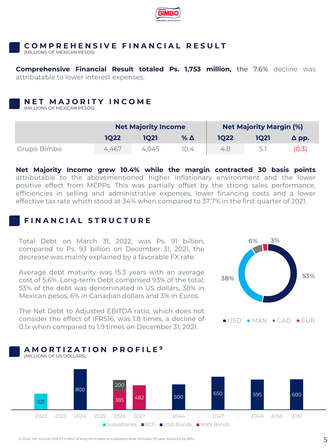

#### **C O M P R E H E N S I V E F I N A N C I A L R E S U L T**

(MILLIONS OF MEXICAN PESOS)

**Comprehensive Financial Result totaled Ps. 1,753 million,** the 7.6% decline was attributable to lower interest expenses.

#### **N E T M A J O R I T Y I N C O M E**

(MILLIONS OF MEXICAN PESOS)

|             | <b>Net Majority Income</b> |       |            | <b>Net Majority Margin (%)</b> |      |              |
|-------------|----------------------------|-------|------------|--------------------------------|------|--------------|
|             | 1022                       | 1021  | % $\Delta$ | <b>1Q22</b>                    | 1021 | $\Delta$ pp. |
| Grupo Bimbo | 4,467                      | 4.045 | 10.4       | 4.8                            |      | 0.3          |

**Net Majority Income grew 10.4% while the margin contracted 30 basis points** attributable to the abovementioned higher inflationary environment and the lower positive effect from MEPPs. This was partially offset by the strong sales performance, efficiencies in selling and administrative expenses, lower financing costs and a lower effective tax rate which stood at 34% when compared to 37.7% in the first quarter of 2021.

### **F I N A N C I A L S T R U C T U R E**

Total Debt on March 31, 2022, was Ps. 91 billion, compared to Ps. 93 billion on December 31, 2021, the decrease was mainly explained by a favorable FX rate.

Average debt maturity was 15.3 years with an average cost of 5.6%. Long-term Debt comprised 93% of the total; 53% of the debt was denominated in US dollars, 38% in Mexican pesos, 6% in Canadian dollars and 3% in Euros.

The Net Debt to Adjusted EBITDA ratio, which does not consider the effect of IFRS16, was 1.8 times, a decline of 0.1x when compared to 1.9 times on December 31, 2021.

**A M O R T I Z A T I O N P R O F I L E <sup>9</sup>**





*9. Does not include US\$ 57 million of long-term debt at subsidiary level. Includes 30-year issuance by BBU.*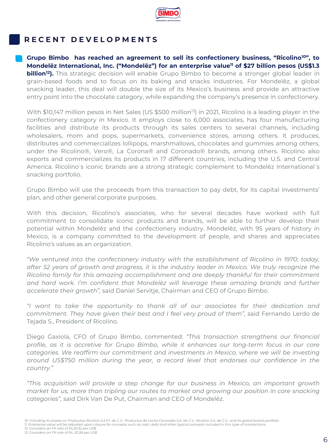

# **R E C E N T D E V E L O P M E N T S**

**Grupo Bimbo has reached an agreement to sell its confectionery business, "Ricolino<sup>10</sup>", to Mondelēz International, Inc. ("Mondelēz") for an enterprise value<sup>11</sup> of \$27 billion pesos (US\$1.3 billion<sup>12</sup>).** This strategic decision will enable Grupo Bimbo to become a stronger global leader in grain-based foods and to focus on its baking and snacks industries. For Mondelēz, a global snacking leader, this deal will double the size of its Mexico's business and provide an attractive entry point into the chocolate category, while expanding the company's presence in confectionery.

With  $$10,147$  million pesos in Net Sales (US \$500 million<sup>13</sup>) in 2021, Ricolino is a leading player in the confectionery category in Mexico. It employs close to 6,000 associates, has four manufacturing facilities and distribute its products through its sales centers to several channels, including wholesalers, mom and pops, supermarkets, convenience stores, among others. It produces, distributes and commercializes lollipops, marshmallows, chocolates and gummies among others, under the Ricolino®, Vero®, La Corona® and Coronado® brands, among others. Ricolino also exports and commercializes its products in 17 different countries, including the U.S. and Central America. Ricolino´s iconic brands are a strong strategic complement to Mondelēz International´s snacking portfolio.

Grupo Bimbo will use the proceeds from this transaction to pay debt, for its capital investments' plan, and other general corporate purposes.

With this decision, Ricolino's associates, who for several decades have worked with full commitment to consolidate iconic products and brands, will be able to further develop their potential within Mondelēz and the confectionery industry. Mondelēz, with 95 years of history in Mexico, is a company committed to the development of people, and shares and appreciates Ricolino's values as an organization.

*"We ventured into the confectionery industry with the establishment of Ricolino in 1970; today, after 52 years of growth and progress, it is the industry leader in Mexico. We truly recognize the Ricolino family for this amazing accomplishment and are deeply thankful for their commitment and hard work. I'm confident that Mondelēz will leverage these amazing brands and further accelerate their growth",* said Daniel Servitje, Chairman and CEO of Grupo Bimbo.

*"I want to take the opportunity to thank all of our associates for their dedication and commitment. They have given their best and I feel very proud of them",* said Fernando Lerdo de Tejada S., President of Ricolino.

Diego Gaxiola, CFO of Grupo Bimbo, commented: *"This transaction strengthens our financial profile, as it is accretive for Grupo Bimbo, while it enhances our long-term focus in our core categories. We reaffirm our commitment and investments in Mexico, where we will be investing around US\$750 million during the year, a record level that endorses our confidence in the country."*

*"This acquisition will provide a step change for our business in Mexico, an important growth market for us, more than tripling our routes to market and growing our position in core snacking categories",* said Dirk Van De Put, Chairman and CEO of Mondelēz.

*11. Enterprise value will be adjusted upon closure for concepts such as cash, debt and other typical concepts included in this type of transactions.*

*12. Considers an FX rate of Ps.20.32 per US\$. 13. Considers an FX rate of Ps. 20.28 per US\$.* 

*<sup>10.</sup> Including its shares on Productos Ricolino S.A.P.I. de C.V., Productos de Leche Coronado S.A. de C.V., Ricolino S.A. de C.V., and its global brand portfolio.*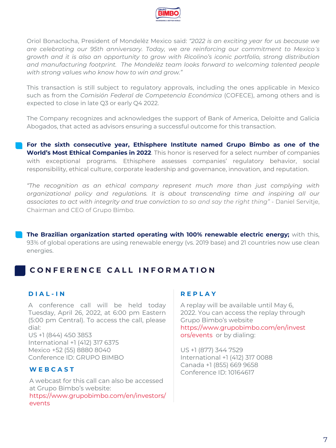

Oriol Bonaclocha, President of Mondelēz Mexico said: *"2022 is an exciting year for us because we are celebrating our 95th anniversary. Today, we are reinforcing our commitment to Mexico´s growth and it is also an opportunity to grow with Ricolino's iconic portfolio, strong distribution and manufacturing footprint. The Mondelēz team looks forward to welcoming talented people with strong values who know how to win and grow."*

This transaction is still subject to regulatory approvals, including the ones applicable in Mexico such as from the *Comisión Federal de Competencia Económica* (COFECE), among others and is expected to close in late Q3 or early Q4 2022.

The Company recognizes and acknowledges the support of Bank of America, Deloitte and Galicia Abogados, that acted as advisors ensuring a successful outcome for this transaction.

**For the sixth consecutive year, Ethisphere Institute named Grupo Bimbo as one of the World's Most Ethical Companies in 2022**. This honor is reserved for a select number of companies with exceptional programs. Ethisphere assesses companies' regulatory behavior, social responsibility, ethical culture, corporate leadership and governance, innovation, and reputation.

*"The recognition as an ethical company represent much more than just complying with organizational policy and regulations. It is about transcending time and inspiring all our associates to act with integrity and true conviction to so and say the right thing"* - Daniel Servitje, Chairman and CEO of Grupo Bimbo.

**The Brazilian organization started operating with 100% renewable electric energy;** with this, 93% of global operations are using renewable energy (vs. 2019 base) and 21 countries now use clean energies.

# **CONFERENCE CALL INFORMATION**

#### **D I A L - I N**

A conference call will be held today Tuesday, April 26, 2022, at 6:00 pm Eastern (5:00 pm Central). To access the call, please dial: US +1 (844) 450 3853 International +1 (412) 317 6375 Mexico +52 (55) 8880 8040 Conference ID: GRUPO BIMBO

#### **W E B C A S T**

A webcast for this call can also be accessed at Grupo Bimbo's website: https://www.grupobimbo.com/en/investors/ events

#### **R E P L A Y**

A replay will be available until May 6, 2022. You can access the replay through Grupo Bimbo's website https://www.grupobimbo.com/en/invest ors/events or by dialing:

US +1 (877) 344 7529 International +1 (412) 317 0088 Canada +1 (855) 669 9658 Conference ID: 10164617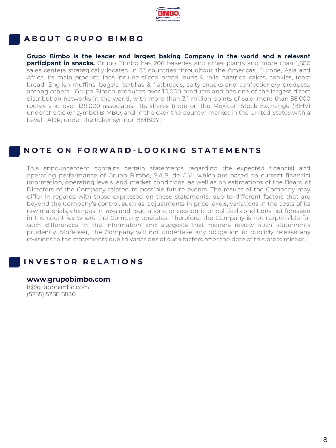

# **A B O U T G R U P O B I M B O**

**Grupo Bimbo is the leader and largest baking Company in the world and a relevant participant in snacks.** Grupo Bimbo has 206 bakeries and other plants and more than 1,600 sales centers strategically located in 33 countries throughout the Americas, Europe, Asia and Africa. Its main product lines include sliced bread, buns & rolls, pastries, cakes, cookies, toast bread, English muffins, bagels, tortillas & flatbreads, salty snacks and confectionery products, among others. Grupo Bimbo produces over 10,000 products and has one of the largest direct distribution networks in the world, with more than 3.1 million points of sale, more than 56,000 routes and over 139,000 associates. Its shares trade on the Mexican Stock Exchange (BMV) under the ticker symbol BIMBO, and in the over-the-counter market in the United States with a Level 1 ADR, under the ticker symbol BMBOY.

# **N O T E O N F O R W A R D - L O O K I N G S T A T E M E N T S**

This announcement contains certain statements regarding the expected financial and operating performance of Grupo Bimbo, S.A.B. de C.V., which are based on current financial information, operating levels, and market conditions, as well as on estimations of the Board of Directors of the Company related to possible future events. The results of the Company may differ in regards with those expressed on these statements, due to different factors that are beyond the Company's control, such as: adjustments in price levels, variations in the costs of its raw materials, changes in laws and regulations, or economic or political conditions not foreseen in the countries where the Company operates. Therefore, the Company is not responsible for such differences in the information and suggests that readers review such statements prudently. Moreover, the Company will not undertake any obligation to publicly release any revisions to the statements due to variations of such factors after the date of this press release.

# **I N V E S T O R R E L A T I O N S**

**www.grupobimbo.com** ir@grupobimbo.com (5255) 5268 6830